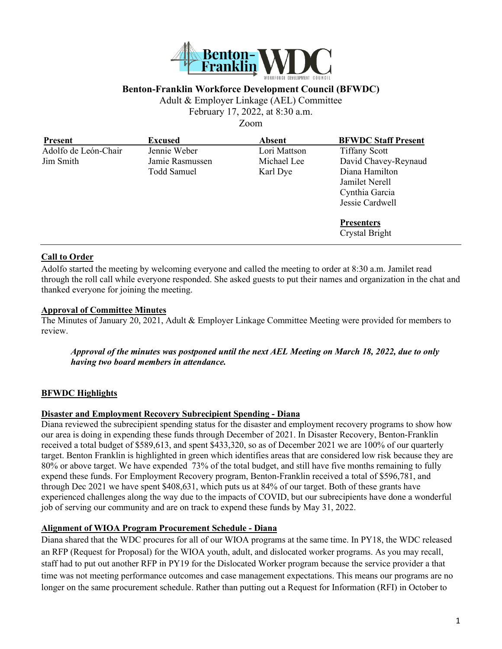

### **Benton-Franklin Workforce Development Council (BFWDC)**

Adult & Employer Linkage (AEL) Committee

February 17, 2022, at 8:30 a.m.

Zoom

| <b>Present</b>       | <b>Excused</b>  | <b>Absent</b> | <b>BFWDC Staff Present</b> |
|----------------------|-----------------|---------------|----------------------------|
| Adolfo de León-Chair | Jennie Weber    | Lori Mattson  | <b>Tiffany Scott</b>       |
| Jim Smith            | Jamie Rasmussen | Michael Lee   | David Chavey-Reynaud       |
|                      | Todd Samuel     | Karl Dye      | Diana Hamilton             |
|                      |                 |               | Jamilet Nerell             |
|                      |                 |               | Cynthia Garcia             |
|                      |                 |               | Jessie Cardwell            |
|                      |                 |               | <b>Presenters</b>          |
|                      |                 |               | Crystal Bright             |

#### **Call to Order**

Adolfo started the meeting by welcoming everyone and called the meeting to order at 8:30 a.m. Jamilet read through the roll call while everyone responded. She asked guests to put their names and organization in the chat and thanked everyone for joining the meeting.

#### **Approval of Committee Minutes**

The Minutes of January 20, 2021, Adult & Employer Linkage Committee Meeting were provided for members to review.

*Approval of the minutes was postponed until the next AEL Meeting on March 18, 2022, due to only having two board members in attendance.* 

#### **BFWDC Highlights**

#### **Disaster and Employment Recovery Subrecipient Spending - Diana**

Diana reviewed the subrecipient spending status for the disaster and employment recovery programs to show how our area is doing in expending these funds through December of 2021. In Disaster Recovery, Benton-Franklin received a total budget of \$589,613, and spent \$433,320, so as of December 2021 we are 100% of our quarterly target. Benton Franklin is highlighted in green which identifies areas that are considered low risk because they are 80% or above target. We have expended 73% of the total budget, and still have five months remaining to fully expend these funds. For Employment Recovery program, Benton-Franklin received a total of \$596,781, and through Dec 2021 we have spent \$408,631, which puts us at 84% of our target. Both of these grants have experienced challenges along the way due to the impacts of COVID, but our subrecipients have done a wonderful job of serving our community and are on track to expend these funds by May 31, 2022.

#### **Alignment of WIOA Program Procurement Schedule - Diana**

Diana shared that the WDC procures for all of our WIOA programs at the same time. In PY18, the WDC released an RFP (Request for Proposal) for the WIOA youth, adult, and dislocated worker programs. As you may recall, staff had to put out another RFP in PY19 for the Dislocated Worker program because the service provider a that time was not meeting performance outcomes and case management expectations. This means our programs are no longer on the same procurement schedule. Rather than putting out a Request for Information (RFI) in October to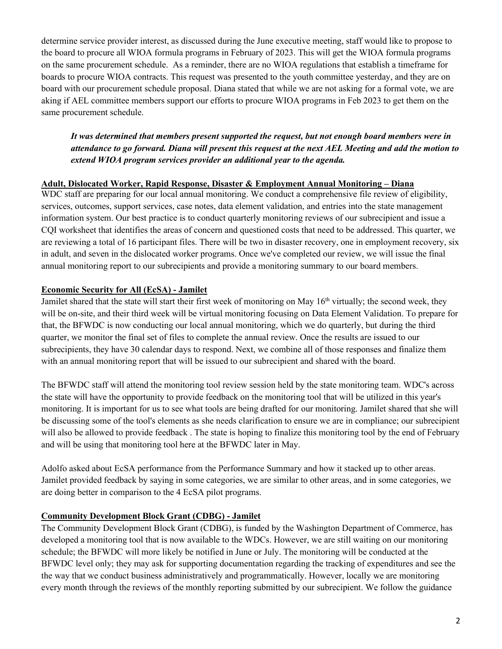determine service provider interest, as discussed during the June executive meeting, staff would like to propose to the board to procure all WIOA formula programs in February of 2023. This will get the WIOA formula programs on the same procurement schedule. As a reminder, there are no WIOA regulations that establish a timeframe for boards to procure WIOA contracts. This request was presented to the youth committee yesterday, and they are on board with our procurement schedule proposal. Diana stated that while we are not asking for a formal vote, we are aking if AEL committee members support our efforts to procure WIOA programs in Feb 2023 to get them on the same procurement schedule.

*It was determined that members present supported the request, but not enough board members were in attendance to go forward. Diana will present this request at the next AEL Meeting and add the motion to extend WIOA program services provider an additional year to the agenda.*

#### **Adult, Dislocated Worker, Rapid Response, Disaster & Employment Annual Monitoring – Diana**

WDC staff are preparing for our local annual monitoring. We conduct a comprehensive file review of eligibility, services, outcomes, support services, case notes, data element validation, and entries into the state management information system. Our best practice is to conduct quarterly monitoring reviews of our subrecipient and issue a CQI worksheet that identifies the areas of concern and questioned costs that need to be addressed. This quarter, we are reviewing a total of 16 participant files. There will be two in disaster recovery, one in employment recovery, six in adult, and seven in the dislocated worker programs. Once we've completed our review, we will issue the final annual monitoring report to our subrecipients and provide a monitoring summary to our board members.

### **Economic Security for All (EcSA) - Jamilet**

Jamilet shared that the state will start their first week of monitoring on May 16<sup>th</sup> virtually; the second week, they will be on-site, and their third week will be virtual monitoring focusing on Data Element Validation. To prepare for that, the BFWDC is now conducting our local annual monitoring, which we do quarterly, but during the third quarter, we monitor the final set of files to complete the annual review. Once the results are issued to our subrecipients, they have 30 calendar days to respond. Next, we combine all of those responses and finalize them with an annual monitoring report that will be issued to our subrecipient and shared with the board.

The BFWDC staff will attend the monitoring tool review session held by the state monitoring team. WDC's across the state will have the opportunity to provide feedback on the monitoring tool that will be utilized in this year's monitoring. It is important for us to see what tools are being drafted for our monitoring. Jamilet shared that she will be discussing some of the tool's elements as she needs clarification to ensure we are in compliance; our subrecipient will also be allowed to provide feedback. The state is hoping to finalize this monitoring tool by the end of February and will be using that monitoring tool here at the BFWDC later in May.

Adolfo asked about EcSA performance from the Performance Summary and how it stacked up to other areas. Jamilet provided feedback by saying in some categories, we are similar to other areas, and in some categories, we are doing better in comparison to the 4 EcSA pilot programs.

### **Community Development Block Grant (CDBG) - Jamilet**

The Community Development Block Grant (CDBG), is funded by the Washington Department of Commerce, has developed a monitoring tool that is now available to the WDCs. However, we are still waiting on our monitoring schedule; the BFWDC will more likely be notified in June or July. The monitoring will be conducted at the BFWDC level only; they may ask for supporting documentation regarding the tracking of expenditures and see the the way that we conduct business administratively and programmatically. However, locally we are monitoring every month through the reviews of the monthly reporting submitted by our subrecipient. We follow the guidance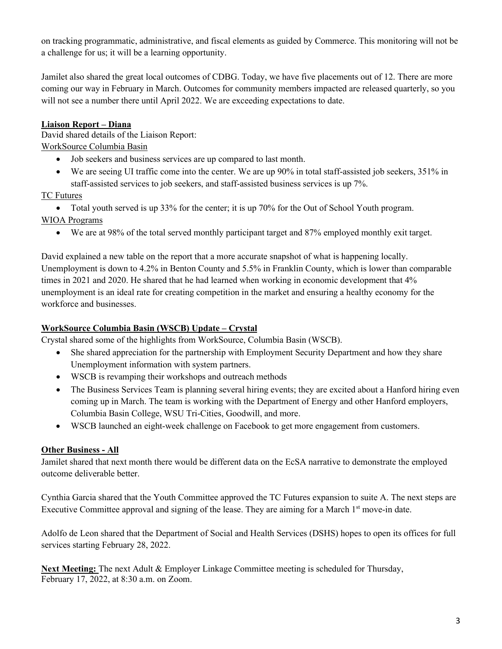on tracking programmatic, administrative, and fiscal elements as guided by Commerce. This monitoring will not be a challenge for us; it will be a learning opportunity.

Jamilet also shared the great local outcomes of CDBG. Today, we have five placements out of 12. There are more coming our way in February in March. Outcomes for community members impacted are released quarterly, so you will not see a number there until April 2022. We are exceeding expectations to date.

## **Liaison Report – Diana**

David shared details of the Liaison Report: WorkSource Columbia Basin

- Job seekers and business services are up compared to last month.
- We are seeing UI traffic come into the center. We are up 90% in total staff-assisted job seekers, 351% in staff-assisted services to job seekers, and staff-assisted business services is up 7%.

## TC Futures

• Total youth served is up 33% for the center; it is up 70% for the Out of School Youth program.

WIOA Programs

• We are at 98% of the total served monthly participant target and 87% employed monthly exit target.

David explained a new table on the report that a more accurate snapshot of what is happening locally. Unemployment is down to 4.2% in Benton County and 5.5% in Franklin County, which is lower than comparable times in 2021 and 2020. He shared that he had learned when working in economic development that 4% unemployment is an ideal rate for creating competition in the market and ensuring a healthy economy for the workforce and businesses.

## **WorkSource Columbia Basin (WSCB) Update – Crystal**

Crystal shared some of the highlights from WorkSource, Columbia Basin (WSCB).

- She shared appreciation for the partnership with Employment Security Department and how they share Unemployment information with system partners.
- WSCB is revamping their workshops and outreach methods
- The Business Services Team is planning several hiring events; they are excited about a Hanford hiring even coming up in March. The team is working with the Department of Energy and other Hanford employers, Columbia Basin College, WSU Tri-Cities, Goodwill, and more.
- WSCB launched an eight-week challenge on Facebook to get more engagement from customers.

# **Other Business - All**

Jamilet shared that next month there would be different data on the EcSA narrative to demonstrate the employed outcome deliverable better.

Cynthia Garcia shared that the Youth Committee approved the TC Futures expansion to suite A. The next steps are Executive Committee approval and signing of the lease. They are aiming for a March 1<sup>st</sup> move-in date.

Adolfo de Leon shared that the Department of Social and Health Services (DSHS) hopes to open its offices for full services starting February 28, 2022.

**Next Meeting:** The next Adult & Employer Linkage Committee meeting is scheduled for Thursday, February 17, 2022, at 8:30 a.m. on Zoom.